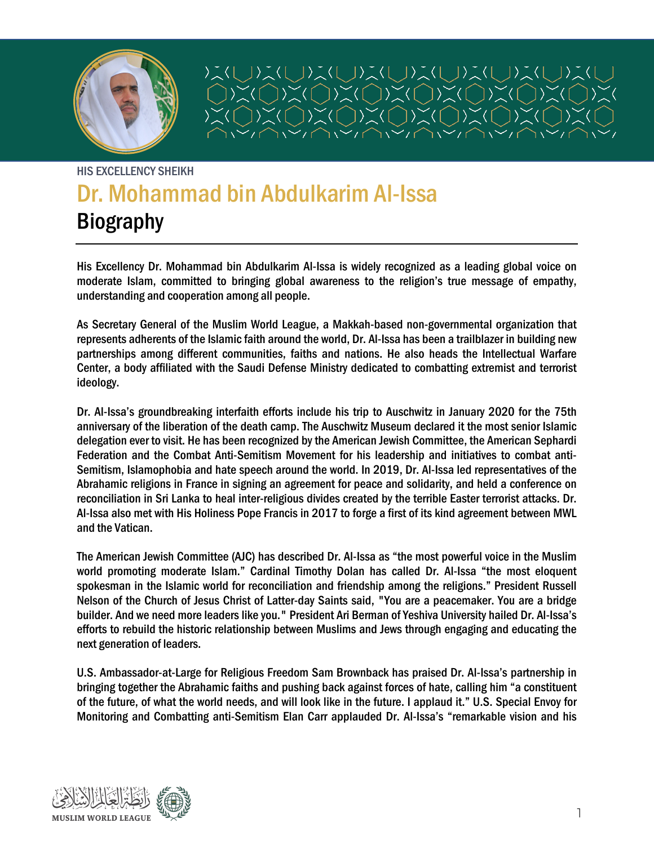

コ)ふ(しょ)〉、(しょ)ふ(しょ)ぶ(しょ)ふ(し  $\sum$  $|\sum_{n=1}^{\infty}$  $\sum_{k=1}^{n}$  $\sum_{\lambda}$ 

# HIS EXCELLENCY SHEIKH Dr. Mohammad bin Abdulkarim Al-Issa Biography

His Excellency Dr. Mohammad bin Abdulkarim Al-Issa is widely recognized as a leading global voice on moderate Islam, committed to bringing global awareness to the religion's true message of empathy, understanding and cooperation among all people.

As Secretary General of the Muslim World League, a Makkah-based non-governmental organization that represents adherents of the Islamic faith around the world, Dr. Al-Issa has been a trailblazer in building new partnerships among different communities, faiths and nations. He also heads the Intellectual Warfare Center, a body affiliated with the Saudi Defense Ministry dedicated to combatting extremist and terrorist ideology.

Dr. Al-Issa's groundbreaking interfaith efforts include his trip to Auschwitz in January 2020 for the 75th anniversary of the liberation of the death camp. The Auschwitz Museum declared it the most senior Islamic delegation ever to visit. He has been recognized by the American Jewish Committee, the American Sephardi Federation and the Combat Anti-Semitism Movement for his leadership and initiatives to combat anti-Semitism, Islamophobia and hate speech around the world. In 2019, Dr. Al-Issa led representatives of the Abrahamic religions in France in signing an agreement for peace and solidarity, and held a conference on reconciliation in Sri Lanka to heal inter-religious divides created by the terrible Easter terrorist attacks. Dr. Al-Issa also met with His Holiness Pope Francis in 2017 to forge a first of its kind agreement between MWL and the Vatican.

The American Jewish Committee (AJC) has described Dr. Al-Issa as "the most powerful voice in the Muslim world promoting moderate Islam." Cardinal Timothy Dolan has called Dr. Al-Issa "the most eloquent spokesman in the Islamic world for reconciliation and friendship among the religions." President Russell Nelson of the Church of Jesus Christ of Latter-day Saints said, "You are a peacemaker. You are a bridge builder. And we need more leaders like you." President Ari Berman of Yeshiva University hailed Dr. Al-Issa's efforts to rebuild the historic relationship between Muslims and Jews through engaging and educating the next generation of leaders.

U.S. Ambassador-at-Large for Religious Freedom Sam Brownback has praised Dr. Al-Issa's partnership in bringing together the Abrahamic faiths and pushing back against forces of hate, calling him "a constituent of the future, of what the world needs, and will look like in the future. I applaud it." U.S. Special Envoy for Monitoring and Combatting anti-Semitism Elan Carr applauded Dr. Al-Issa's "remarkable vision and his

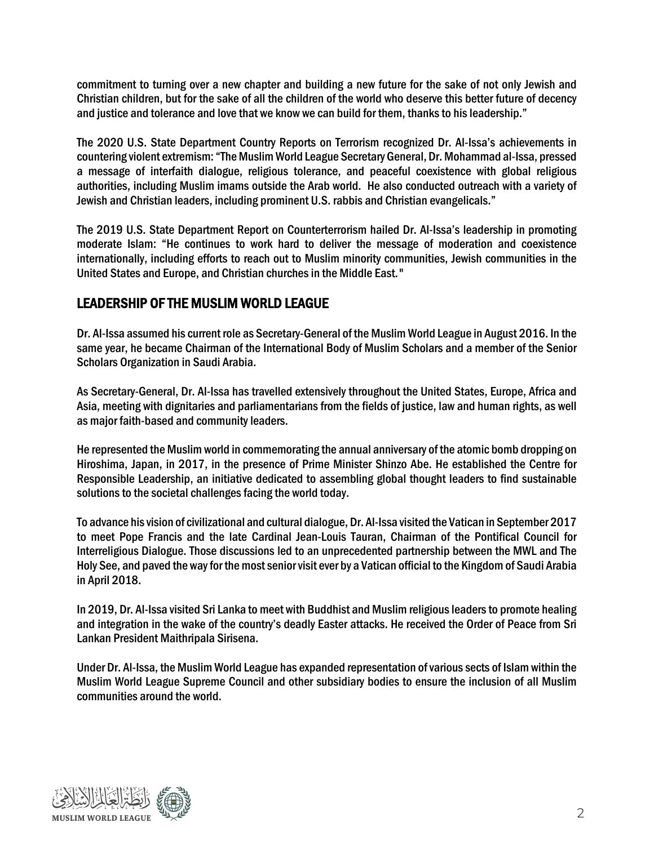commitment to turning over a new chapter and building a new future for the sake of not only Jewish and Christian children, but for the sake of all the children of the world who deserve this better future of decency and justice and tolerance and love that we know we can build for them, thanks to his leadership."

The 2020 U.S. State Department Country Reports on Terrorism recognized Dr. Al-Issa's achievements in countering violent extremism: "The Muslim World League Secretary General, Dr. Mohammad al-Issa, pressed a message of interfaith dialogue, religious tolerance, and peaceful coexistence with global religious authorities, including Muslim imams outside the Arab world. He also conducted outreach with a variety of Jewish and Christian leaders, including prominent U.S. rabbis and Christian evangelicals."

The 2019 U.S. State Department Report on Counterterrorism hailed Dr. Al-Issa's leadership in promoting moderate Islam: "He continues to work hard to deliver the message of moderation and coexistence internationally, including efforts to reach out to Muslim minority communities, Jewish communities in the United States and Europe, and Christian churches in the Middle East."

# LEADERSHIP OF THE MUSLIM WORLD LEAGUE

Dr. Al-Issa assumed his current role as Secretary-General of the Muslim World League in August 2016. In the same year, he became Chairman of the International Body of Muslim Scholars and a member of the Senior Scholars Organization in Saudi Arabia.

As Secretary-General, Dr. Al-Issa has travelled extensively throughout the United States, Europe, Africa and Asia, meeting with dignitaries and parliamentarians from the fields of justice, law and human rights, as well as major faith-based and community leaders.

He represented the Muslim world in commemorating the annual anniversary of the atomic bomb dropping on Hiroshima, Japan, in 2017, in the presence of Prime Minister Shinzo Abe. He established the Centre for Responsible Leadership, an initiative dedicated to assembling global thought leaders to find sustainable solutions to the societal challenges facing the world today.

To advance his vision of civilizational and cultural dialogue, Dr. Al-Issa visited the Vatican in September 2017 to meet Pope Francis and the late Cardinal Jean-Louis Tauran, Chairman of the Pontifical Council for Interreligious Dialogue. Those discussions led to an unprecedented partnership between the MWL and The Holy See, and paved the way for the most senior visit ever by a Vatican official to the Kingdom of Saudi Arabia in April 2018.

In 2019, Dr. Al-Issa visited Sri Lanka to meet with Buddhist and Muslim religious leaders to promote healing and integration in the wake of the country's deadly Easter attacks. He received the Order of Peace from Sri Lankan President Maithripala Sirisena.

Under Dr. Al-Issa, the Muslim World League has expanded representation of various sects of Islam within the Muslim World League Supreme Council and other subsidiary bodies to ensure the inclusion of all Muslim communities around the world.

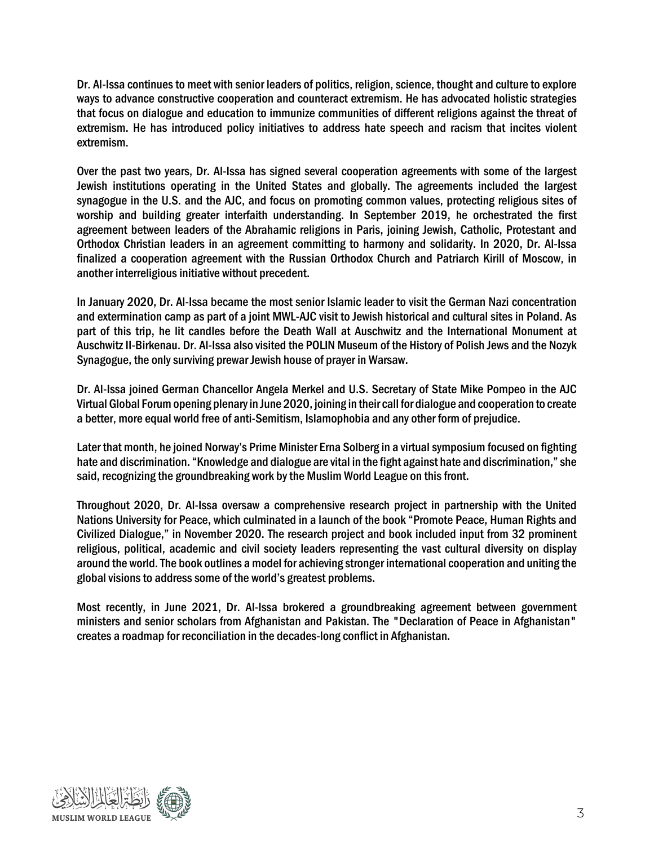Dr. Al-Issa continues to meet with senior leaders of politics, religion, science, thought and culture to explore ways to advance constructive cooperation and counteract extremism. He has advocated holistic strategies that focus on dialogue and education to immunize communities of different religions against the threat of extremism. He has introduced policy initiatives to address hate speech and racism that incites violent extremism.

Over the past two years, Dr. Al-Issa has signed several cooperation agreements with some of the largest Jewish institutions operating in the United States and globally. The agreements included the largest synagogue in the U.S. and the AJC, and focus on promoting common values, protecting religious sites of worship and building greater interfaith understanding. In September 2019, he orchestrated the first agreement between leaders of the Abrahamic religions in Paris, joining Jewish, Catholic, Protestant and Orthodox Christian leaders in an agreement committing to harmony and solidarity. In 2020, Dr. Al-Issa finalized a cooperation agreement with the Russian Orthodox Church and Patriarch Kirill of Moscow, in another interreligious initiative without precedent.

In January 2020, Dr. Al-Issa became the most senior Islamic leader to visit the German Nazi concentration and extermination camp as part of a joint MWL-AJC visit to Jewish historical and cultural sites in Poland. As part of this trip, he lit candles before the Death Wall at Auschwitz and the International Monument at Auschwitz II-Birkenau. Dr. Al-Issa also visited the POLIN Museum of the History of Polish Jews and the Nozyk Synagogue, the only surviving prewar Jewish house of prayer in Warsaw.

Dr. Al-Issa joined German Chancellor Angela Merkel and U.S. Secretary of State Mike Pompeo in the AJC Virtual Global Forum opening plenaryin June 2020, joining in their call for dialogue and cooperation to create a better, more equal world free of anti-Semitism, Islamophobia and any other form of prejudice.

Later that month, he joined Norway's Prime Minister Erna Solberg in a virtual symposium focused on fighting hate and discrimination. "Knowledge and dialogue are vital in the fight against hate and discrimination," she said, recognizing the groundbreaking work by the Muslim World League on this front.

Throughout 2020, Dr. Al-Issa oversaw a comprehensive research project in partnership with the United Nations University for Peace, which culminated in a launch of the book "Promote Peace, Human Rights and Civilized Dialogue," in November 2020. The research project and book included input from 32 prominent religious, political, academic and civil society leaders representing the vast cultural diversity on display around the world. The book outlines a model for achieving stronger international cooperation and uniting the global visions to address some of the world's greatest problems.

Most recently, in June 2021, Dr. Al-Issa brokered a groundbreaking agreement between government ministers and senior scholars from Afghanistan and Pakistan. The "Declaration of Peace in Afghanistan" creates a roadmap for reconciliation in the decades-long conflict in Afghanistan.

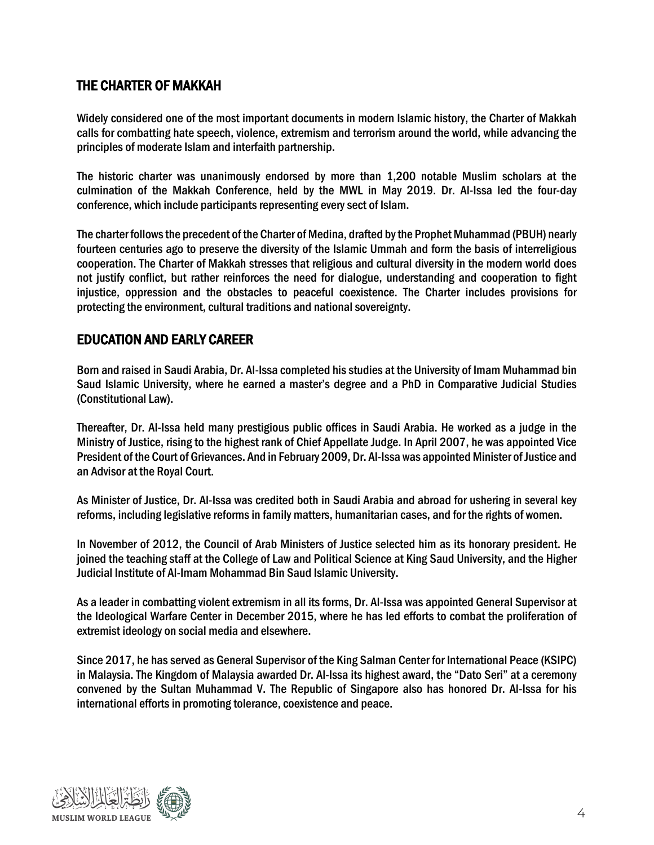## THE CHARTER OF MAKKAH

Widely considered one of the most important documents in modern Islamic history, the Charter of Makkah calls for combatting hate speech, violence, extremism and terrorism around the world, while advancing the principles of moderate Islam and interfaith partnership.

The historic charter was unanimously endorsed by more than 1,200 notable Muslim scholars at the culmination of the Makkah Conference, held by the MWL in May 2019. Dr. Al-Issa led the four-day conference, which include participants representing every sect of Islam.

The charter follows the precedent of the Charter of Medina, drafted by the Prophet Muhammad (PBUH) nearly fourteen centuries ago to preserve the diversity of the Islamic Ummah and form the basis of interreligious cooperation. The Charter of Makkah stresses that religious and cultural diversity in the modern world does not justify conflict, but rather reinforces the need for dialogue, understanding and cooperation to fight injustice, oppression and the obstacles to peaceful coexistence. The Charter includes provisions for protecting the environment, cultural traditions and national sovereignty.

#### EDUCATION AND EARLY CAREER

Born and raised in Saudi Arabia, Dr. Al-Issa completed his studies at the University of Imam Muhammad bin Saud Islamic University, where he earned a master's degree and a PhD in Comparative Judicial Studies (Constitutional Law).

Thereafter, Dr. Al-Issa held many prestigious public offices in Saudi Arabia. He worked as a judge in the Ministry of Justice, rising to the highest rank of Chief Appellate Judge. In April 2007, he was appointed Vice President of the Court of Grievances. And in February 2009, Dr. Al-Issa was appointed Minister of Justice and an Advisor at the Royal Court.

As Minister of Justice, Dr. Al-Issa was credited both in Saudi Arabia and abroad for ushering in several key reforms, including legislative reforms in family matters, humanitarian cases, and for the rights of women.

In November of 2012, the Council of Arab Ministers of Justice selected him as its honorary president. He joined the teaching staff at the College of Law and Political Science at King Saud University, and the Higher Judicial Institute of Al-Imam Mohammad Bin Saud Islamic University.

As a leader in combatting violent extremism in all its forms, Dr. Al-Issa was appointed General Supervisor at the Ideological Warfare Center in December 2015, where he has led efforts to combat the proliferation of extremist ideology on social media and elsewhere.

Since 2017, he has served as General Supervisor of the King Salman Center for International Peace (KSIPC) in Malaysia. The Kingdom of Malaysia awarded Dr. Al-Issa its highest award, the "Dato Seri" at a ceremony convened by the Sultan Muhammad V. The Republic of Singapore also has honored Dr. Al-Issa for his international efforts in promoting tolerance, coexistence and peace.

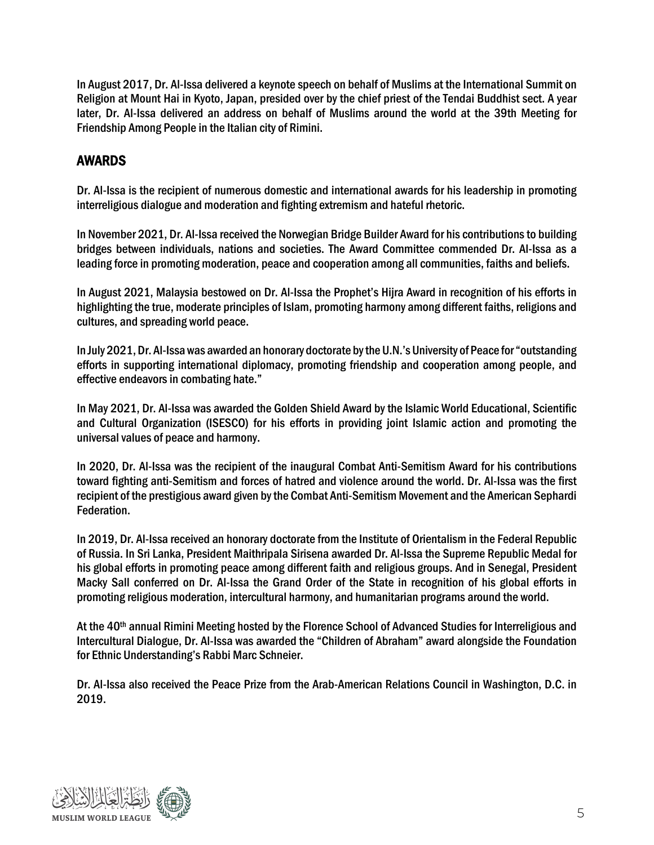In August 2017, Dr. Al-Issa delivered a keynote speech on behalf of Muslims at the International Summit on Religion at Mount Hai in Kyoto, Japan, presided over by the chief priest of the Tendai Buddhist sect. A year later, Dr. Al-Issa delivered an address on behalf of Muslims around the world at the 39th Meeting for Friendship Among People in the Italian city of Rimini.

# AWARDS

Dr. Al-Issa is the recipient of numerous domestic and international awards for his leadership in promoting interreligious dialogue and moderation and fighting extremism and hateful rhetoric.

In November 2021, Dr. Al-Issa received the Norwegian Bridge Builder Award for his contributions to building bridges between individuals, nations and societies. The Award Committee commended Dr. Al-Issa as a leading force in promoting moderation, peace and cooperation among all communities, faiths and beliefs.

In August 2021, Malaysia bestowed on Dr. Al-Issa the Prophet's Hijra Award in recognition of his efforts in highlighting the true, moderate principles of Islam, promoting harmony among different faiths, religions and cultures, and spreading world peace.

In July 2021, Dr. Al-Issa was awarded an honorary doctorate by the U.N.'s University of Peace for "outstanding efforts in supporting international diplomacy, promoting friendship and cooperation among people, and effective endeavors in combating hate."

In May 2021, Dr. Al-Issa was awarded the Golden Shield Award by the Islamic World Educational, Scientific and Cultural Organization (ISESCO) for his efforts in providing joint Islamic action and promoting the universal values of peace and harmony.

In 2020, Dr. Al-Issa was the recipient of the inaugural Combat Anti-Semitism Award for his contributions toward fighting anti-Semitism and forces of hatred and violence around the world. Dr. Al-Issa was the first recipient of the prestigious award given by the Combat Anti-Semitism Movement and the American Sephardi Federation.

In 2019, Dr. Al-Issa received an honorary doctorate from the Institute of Orientalism in the Federal Republic of Russia. In Sri Lanka, President Maithripala Sirisena awarded Dr. Al-Issa the Supreme Republic Medal for his global efforts in promoting peace among different faith and religious groups. And in Senegal, President Macky Sall conferred on Dr. Al-Issa the Grand Order of the State in recognition of his global efforts in promoting religious moderation, intercultural harmony, and humanitarian programs around the world.

At the 40<sup>th</sup> annual Rimini Meeting hosted by the Florence School of Advanced Studies for Interreligious and Intercultural Dialogue, Dr. Al-Issa was awarded the "Children of Abraham" award alongside the Foundation for Ethnic Understanding's Rabbi Marc Schneier.

Dr. Al-Issa also received the Peace Prize from the Arab-American Relations Council in Washington, D.C. in 2019.